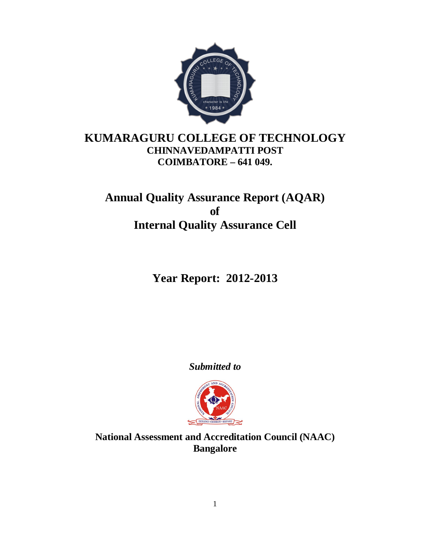

# **KUMARAGURU COLLEGE OF TECHNOLOGY CHINNAVEDAMPATTI POST COIMBATORE – 641 049.**

# **Annual Quality Assurance Report (AQAR) of Internal Quality Assurance Cell**

# **Year Report: 2012-2013**

*Submitted to*



**National Assessment and Accreditation Council (NAAC) Bangalore**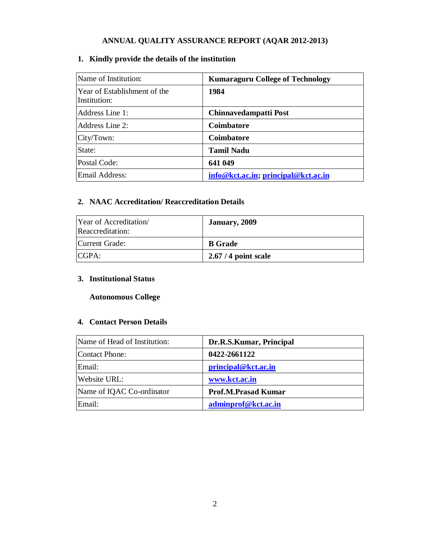# **ANNUAL QUALITY ASSURANCE REPORT (AQAR 2012-2013)**

# **1. Kindly provide the details of the institution**

| Name of Institution:                         | <b>Kumaraguru College of Technology</b> |
|----------------------------------------------|-----------------------------------------|
| Year of Establishment of the<br>Institution: | 1984                                    |
| Address Line 1:                              | Chinnavedampatti Post                   |
| Address Line 2:                              | Coimbatore                              |
| City/Town:                                   | <b>Coimbatore</b>                       |
| State:                                       | <b>Tamil Nadu</b>                       |
| Postal Code:                                 | 641 049                                 |
| Email Address:                               | info@kct.ac.in; principal@kct.ac.in     |

# **2. NAAC Accreditation/ Reaccreditation Details**

| Year of Accreditation<br>Reaccreditation: | January, 2009        |
|-------------------------------------------|----------------------|
| Current Grade:                            | <b>B</b> Grade       |
| CGPA:                                     | $2.67/4$ point scale |

# **3. Institutional Status**

# **Autonomous College**

# **4. Contact Person Details**

| Name of Head of Institution: | Dr.R.S.Kumar, Principal    |
|------------------------------|----------------------------|
| Contact Phone:               | 0422-2661122               |
| Email:                       | principal@kct.ac.in        |
| Website URL:                 | www.kct.ac.in              |
| Name of IQAC Co-ordinator    | <b>Prof.M.Prasad Kumar</b> |
| Email:                       | adminprof@kct.ac.in        |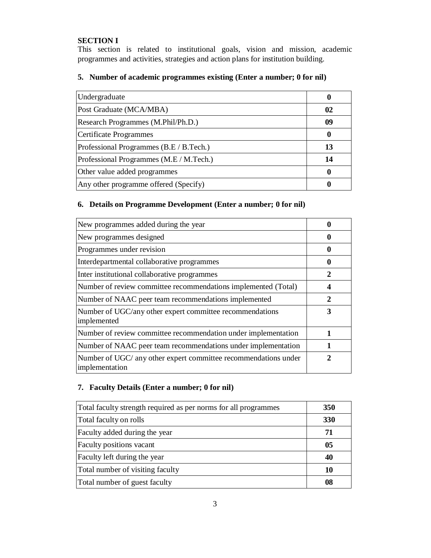# **SECTION I**

This section is related to institutional goals, vision and mission, academic programmes and activities, strategies and action plans for institution building.

# **5. Number of academic programmes existing (Enter a number; 0 for nil)**

| Undergraduate                           |    |
|-----------------------------------------|----|
| Post Graduate (MCA/MBA)                 | 02 |
| Research Programmes (M.Phil/Ph.D.)      | 09 |
| <b>Certificate Programmes</b>           |    |
| Professional Programmes (B.E / B.Tech.) | 13 |
| Professional Programmes (M.E / M.Tech.) | 14 |
| Other value added programmes            |    |
| Any other programme offered (Specify)   |    |
|                                         |    |

# **6. Details on Programme Development (Enter a number; 0 for nil)**

| New programmes added during the year                                              |   |
|-----------------------------------------------------------------------------------|---|
| New programmes designed                                                           |   |
| Programmes under revision                                                         |   |
| Interdepartmental collaborative programmes                                        | 0 |
| Inter institutional collaborative programmes                                      | 2 |
| Number of review committee recommendations implemented (Total)                    |   |
| Number of NAAC peer team recommendations implemented                              | 2 |
| Number of UGC/any other expert committee recommendations<br>implemented           | 3 |
| Number of review committee recommendation under implementation                    |   |
| Number of NAAC peer team recommendations under implementation                     |   |
| Number of UGC/ any other expert committee recommendations under<br>implementation |   |

# **7. Faculty Details (Enter a number; 0 for nil)**

| Total faculty strength required as per norms for all programmes | <b>350</b> |
|-----------------------------------------------------------------|------------|
| Total faculty on rolls                                          | 330        |
| Faculty added during the year                                   | 71         |
| Faculty positions vacant                                        | 05         |
| Faculty left during the year                                    | 40         |
| Total number of visiting faculty                                | 10         |
| Total number of guest faculty                                   | 08         |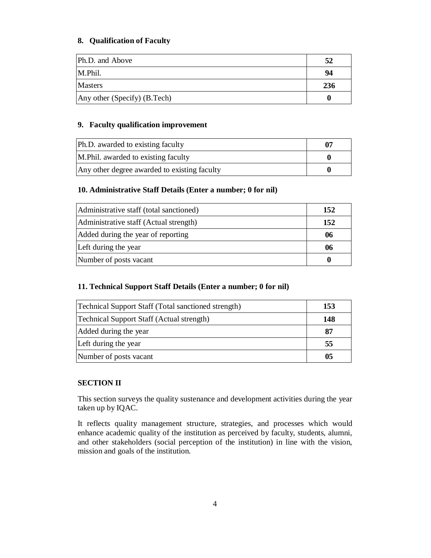# **8. Qualification of Faculty**

| Ph.D. and Above              | 52  |
|------------------------------|-----|
| M.Phil.                      | 94  |
| <b>Masters</b>               | 236 |
| Any other (Specify) (B.Tech) |     |

# **9. Faculty qualification improvement**

| Ph.D. awarded to existing faculty            | 07 |
|----------------------------------------------|----|
| M. Phil. awarded to existing faculty         |    |
| Any other degree awarded to existing faculty |    |

# **10. Administrative Staff Details (Enter a number; 0 for nil)**

| Administrative staff (total sanctioned) | 152 |
|-----------------------------------------|-----|
| Administrative staff (Actual strength)  | 152 |
| Added during the year of reporting      | 06  |
| Left during the year                    | 06  |
| Number of posts vacant                  |     |

# **11. Technical Support Staff Details (Enter a number; 0 for nil)**

| <b>Technical Support Staff (Total sanctioned strength)</b> | 153 |
|------------------------------------------------------------|-----|
| <b>Technical Support Staff (Actual strength)</b>           | 148 |
| Added during the year                                      | 87  |
| Left during the year                                       | 55  |
| Number of posts vacant                                     | 05  |

# **SECTION II**

This section surveys the quality sustenance and development activities during the year taken up by IQAC.

It reflects quality management structure, strategies, and processes which would enhance academic quality of the institution as perceived by faculty, students, alumni, and other stakeholders (social perception of the institution) in line with the vision, mission and goals of the institution.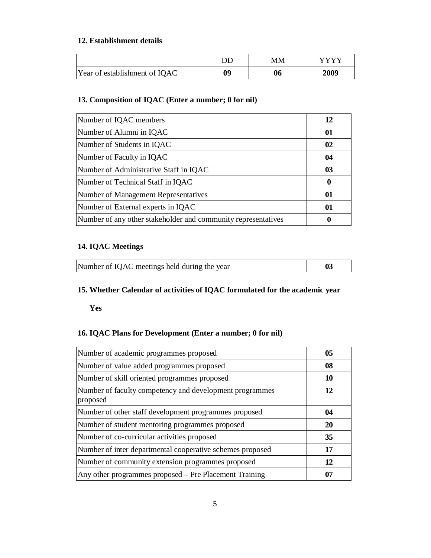# **12. Establishment details**

|                               | DD | MМ | VVVV |
|-------------------------------|----|----|------|
| Year of establishment of IQAC | 09 | 06 | 2009 |

# **13. Composition of IQAC (Enter a number; 0 for nil)**

| Number of IQAC members                                        | 12 |
|---------------------------------------------------------------|----|
| Number of Alumni in IQAC                                      | 01 |
| Number of Students in IQAC                                    | 02 |
| Number of Faculty in IQAC                                     | 04 |
| Number of Administrative Staff in IQAC                        | 03 |
| Number of Technical Staff in IQAC                             | 0  |
| Number of Management Representatives                          | 01 |
| Number of External experts in IQAC                            | 01 |
| Number of any other stakeholder and community representatives |    |

# **14. IQAC Meetings**

|  | Number of IQAC meetings held during the year |  |
|--|----------------------------------------------|--|
|--|----------------------------------------------|--|

# **15. Whether Calendar of activities of IQAC formulated for the academic year**

**Yes** 

# **16. IQAC Plans for Development (Enter a number; 0 for nil)**

| Number of academic programmes proposed                              | 05 |
|---------------------------------------------------------------------|----|
| Number of value added programmes proposed                           | 08 |
| Number of skill oriented programmes proposed                        | 10 |
| Number of faculty competency and development programmes<br>proposed | 12 |
| Number of other staff development programmes proposed               | 04 |
| Number of student mentoring programmes proposed                     | 20 |
| Number of co-curricular activities proposed                         | 35 |
| Number of inter departmental cooperative schemes proposed           | 17 |
| Number of community extension programmes proposed                   | 12 |
| Any other programmes proposed – Pre Placement Training              | 07 |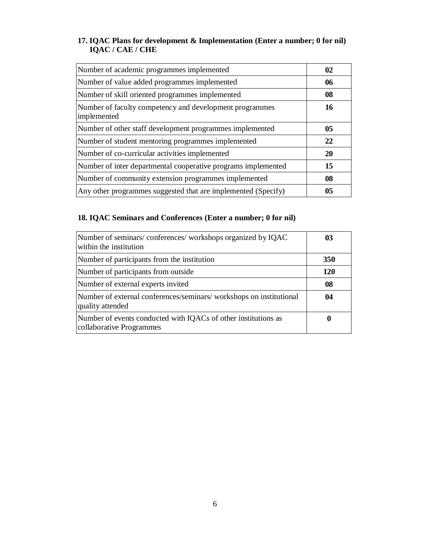# **17. IQAC Plans for development & Implementation (Enter a number; 0 for nil) IQAC / CAE / CHE**

| Number of academic programmes implemented                              | 02        |
|------------------------------------------------------------------------|-----------|
| Number of value added programmes implemented                           | 06        |
| Number of skill oriented programmes implemented                        | 08        |
| Number of faculty competency and development programmes<br>implemented | 16        |
| Number of other staff development programmes implemented               | 05        |
| Number of student mentoring programmes implemented                     | 22        |
| Number of co-curricular activities implemented                         | <b>20</b> |
| Number of inter departmental cooperative programs implemented          | 15        |
| Number of community extension programmes implemented                   | 08        |
| Any other programmes suggested that are implemented (Specify)          | 05        |

# **18. IQAC Seminars and Conferences (Enter a number; 0 for nil)**

| Number of seminars/conferences/workshops organized by IQAC<br>within the institution       | 03  |
|--------------------------------------------------------------------------------------------|-----|
| Number of participants from the institution                                                | 350 |
| Number of participants from outside                                                        | 120 |
| Number of external experts invited                                                         | 08  |
| Number of external conferences/seminars/workshops on institutional<br>quality attended     | 04  |
| Number of events conducted with IQACs of other institutions as<br>collaborative Programmes | 0   |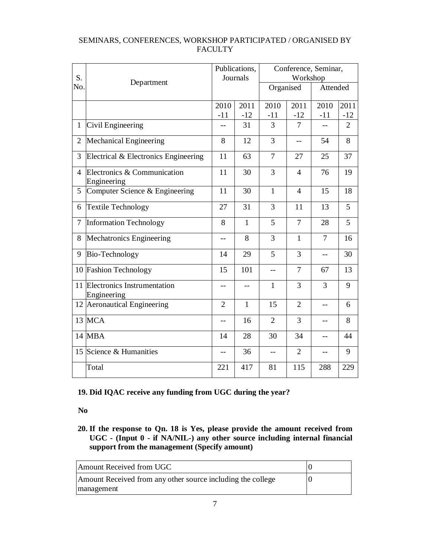| S.             |                                            |                | Publications,<br>Journals |                | Workshop       | Conference, Seminar, |                |
|----------------|--------------------------------------------|----------------|---------------------------|----------------|----------------|----------------------|----------------|
| No.            | Department                                 |                |                           | Organised      |                | Attended             |                |
|                |                                            | 2010<br>$-11$  | 2011<br>$-12$             | 2010<br>$-11$  | 2011<br>$-12$  | 2010<br>$-11$        | 2011<br>$-12$  |
| $\mathbf{1}$   | Civil Engineering                          | $-$            | 31                        | 3              | $\overline{7}$ |                      | $\overline{2}$ |
| $\overline{2}$ | Mechanical Engineering                     | 8              | 12                        | 3              | $-$            | 54                   | 8              |
| 3              | Electrical & Electronics Engineering       | 11             | 63                        | 7              | 27             | 25                   | 37             |
| $\overline{4}$ | Electronics & Communication<br>Engineering | 11             | 30                        | 3              | $\overline{4}$ | 76                   | 19             |
| 5              | Computer Science & Engineering             | 11             | 30                        | $\mathbf{1}$   | $\overline{4}$ | 15                   | 18             |
| 6              | Textile Technology                         | 27             | 31                        | 3              | 11             | 13                   | 5              |
| 7              | <b>Information Technology</b>              | 8              | $\mathbf{1}$              | 5              | $\overline{7}$ | 28                   | 5              |
| 8              | Mechatronics Engineering                   | $-$            | 8                         | 3              | $\mathbf{1}$   | $\overline{7}$       | 16             |
| 9              | Bio-Technology                             | 14             | 29                        | 5              | 3              | $-$                  | 30             |
|                | 10 Fashion Technology                      | 15             | 101                       | $-$            | $\overline{7}$ | 67                   | 13             |
| 11             | Electronics Instrumentation<br>Engineering | $-$            | $-$                       | $\mathbf{1}$   | 3              | 3                    | 9              |
| 12             | Aeronautical Engineering                   | $\overline{2}$ | $\mathbf{1}$              | 15             | $\overline{2}$ | $-$                  | 6              |
| 13             | <b>MCA</b>                                 | $-$            | 16                        | $\overline{2}$ | 3              | --                   | 8              |
|                | 14 MBA                                     | 14             | 28                        | 30             | 34             | --                   | 44             |
|                | 15 Science & Humanities                    | $-$            | 36                        | $-$            | $\overline{2}$ | ۳.                   | 9              |
|                | Total                                      | 221            | 417                       | 81             | 115            | 288                  | 229            |

# SEMINARS, CONFERENCES, WORKSHOP PARTICIPATED / ORGANISED BY FACULTY

# **19. Did IQAC receive any funding from UGC during the year?**

**No**

**20. If the response to Qn. 18 is Yes, please provide the amount received from UGC - (Input 0 - if NA/NIL-) any other source including internal financial support from the management (Specify amount)**

| Amount Received from UGC                                                  |  |
|---------------------------------------------------------------------------|--|
| Amount Received from any other source including the college<br>management |  |
|                                                                           |  |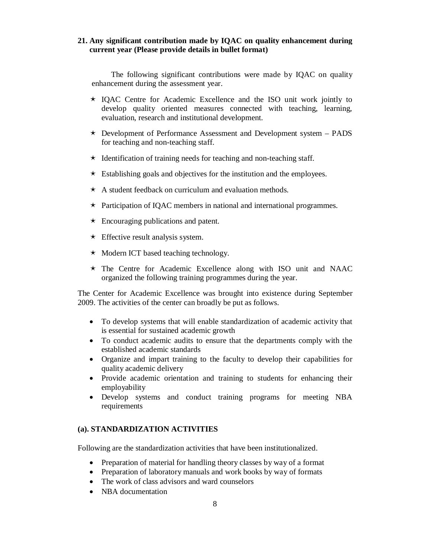## **21. Any significant contribution made by IQAC on quality enhancement during current year (Please provide details in bullet format)**

The following significant contributions were made by IQAC on quality enhancement during the assessment year.

- $\star$  IOAC Centre for Academic Excellence and the ISO unit work jointly to develop quality oriented measures connected with teaching, learning, evaluation, research and institutional development.
- $\star$  Development of Performance Assessment and Development system PADS for teaching and non-teaching staff.
- $\star$  Identification of training needs for teaching and non-teaching staff.
- $\star$  Establishing goals and objectives for the institution and the employees.
- $\star$  A student feedback on curriculum and evaluation methods.
- $\star$  Participation of IQAC members in national and international programmes.
- $\star$  Encouraging publications and patent.
- $\star$  Effective result analysis system.
- $\star$  Modern ICT based teaching technology.
- The Centre for Academic Excellence along with ISO unit and NAAC organized the following training programmes during the year.

The Center for Academic Excellence was brought into existence during September 2009. The activities of the center can broadly be put as follows.

- To develop systems that will enable standardization of academic activity that is essential for sustained academic growth
- To conduct academic audits to ensure that the departments comply with the established academic standards
- Organize and impart training to the faculty to develop their capabilities for quality academic delivery
- Provide academic orientation and training to students for enhancing their employability
- Develop systems and conduct training programs for meeting NBA requirements

## **(a). STANDARDIZATION ACTIVITIES**

Following are the standardization activities that have been institutionalized.

- Preparation of material for handling theory classes by way of a format
- Preparation of laboratory manuals and work books by way of formats
- The work of class advisors and ward counselors
- NBA documentation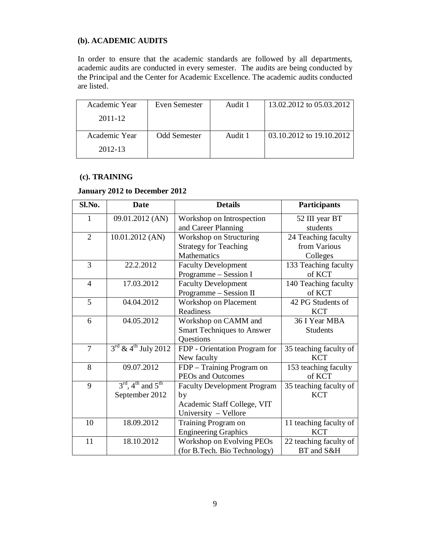# **(b). ACADEMIC AUDITS**

In order to ensure that the academic standards are followed by all departments, academic audits are conducted in every semester. The audits are being conducted by the Principal and the Center for Academic Excellence. The academic audits conducted are listed.

| Academic Year | Even Semester | Audit 1 | 13.02.2012 to 05.03.2012 |
|---------------|---------------|---------|--------------------------|
| 2011-12       |               |         |                          |
| Academic Year | Odd Semester  | Audit 1 | 03.10.2012 to 19.10.2012 |
| 2012-13       |               |         |                          |

## **(c). TRAINING**

# **January 2012 to December 2012**

| Sl.No.         | <b>Date</b>                                           | <b>Details</b>                     | <b>Participants</b>    |
|----------------|-------------------------------------------------------|------------------------------------|------------------------|
| 1              | 09.01.2012 (AN)                                       | Workshop on Introspection          | 52 III year BT         |
|                |                                                       | and Career Planning                | students               |
| $\overline{2}$ | 10.01.2012 (AN)                                       | Workshop on Structuring            | 24 Teaching faculty    |
|                |                                                       | <b>Strategy for Teaching</b>       | from Various           |
|                |                                                       | <b>Mathematics</b>                 | Colleges               |
| 3              | 22.2.2012                                             | <b>Faculty Development</b>         | 133 Teaching faculty   |
|                |                                                       | Programme - Session I              | of KCT                 |
| $\overline{4}$ | 17.03.2012                                            | <b>Faculty Development</b>         | 140 Teaching faculty   |
|                |                                                       | Programme - Session II             | of KCT                 |
| 5              | 04.04.2012                                            | Workshop on Placement              | 42 PG Students of      |
|                |                                                       | Readiness                          | <b>KCT</b>             |
| 6              | 04.05.2012                                            | Workshop on CAMM and               | 36 I Year MBA          |
|                |                                                       | <b>Smart Techniques to Answer</b>  | <b>Students</b>        |
|                |                                                       | Questions                          |                        |
| 7              | $3^{\text{rd}}$ & 4 <sup>th</sup> July 2012           | FDP - Orientation Program for      | 35 teaching faculty of |
|                |                                                       | New faculty                        | <b>KCT</b>             |
| 8              | 09.07.2012                                            | FDP - Training Program on          | 153 teaching faculty   |
|                |                                                       | PEOs and Outcomes                  | of KCT                 |
| 9              | $3^{\text{rd}}$ , 4 <sup>th</sup> and $5^{\text{th}}$ | <b>Faculty Development Program</b> | 35 teaching faculty of |
|                | September 2012                                        | by                                 | <b>KCT</b>             |
|                |                                                       | Academic Staff College, VIT        |                        |
|                |                                                       | University - Vellore               |                        |
| 10             | 18.09.2012                                            | Training Program on                | 11 teaching faculty of |
|                |                                                       | <b>Engineering Graphics</b>        | <b>KCT</b>             |
| 11             | 18.10.2012                                            | Workshop on Evolving PEOs          | 22 teaching faculty of |
|                |                                                       | (for B.Tech. Bio Technology)       | BT and S&H             |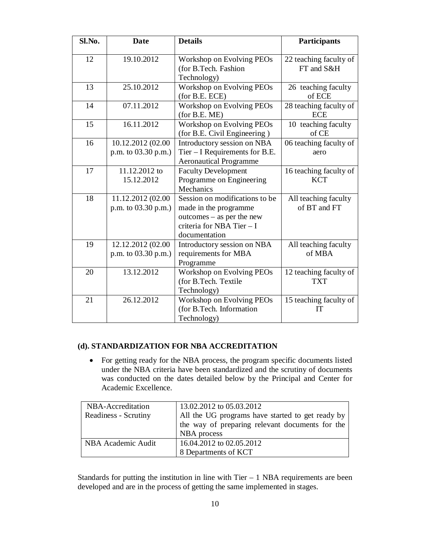| Sl.No. | <b>Date</b>                              | <b>Details</b>                                                                                                                       | Participants                         |
|--------|------------------------------------------|--------------------------------------------------------------------------------------------------------------------------------------|--------------------------------------|
| 12     | 19.10.2012                               | Workshop on Evolving PEOs<br>(for B.Tech. Fashion<br>Technology)                                                                     | 22 teaching faculty of<br>FT and S&H |
| 13     | 25.10.2012                               | Workshop on Evolving PEOs<br>(for B.E. ECE)                                                                                          | 26 teaching faculty<br>of ECE        |
| 14     | 07.11.2012                               | Workshop on Evolving PEOs<br>(for B.E. ME)                                                                                           | 28 teaching faculty of<br><b>ECE</b> |
| 15     | 16.11.2012                               | Workshop on Evolving PEOs<br>(for B.E. Civil Engineering)                                                                            | 10 teaching faculty<br>of CE         |
| 16     | 10.12.2012 (02.00<br>p.m. to 03.30 p.m.) | Introductory session on NBA<br>Tier $-$ I Requirements for B.E.<br><b>Aeronautical Programme</b>                                     | 06 teaching faculty of<br>aero       |
| 17     | 11.12.2012 to<br>15.12.2012              | <b>Faculty Development</b><br>Programme on Engineering<br>Mechanics                                                                  | 16 teaching faculty of<br><b>KCT</b> |
| 18     | 11.12.2012 (02.00<br>p.m. to 03.30 p.m.) | Session on modifications to be<br>made in the programme<br>$outcomes - as per the new$<br>criteria for NBA Tier - I<br>documentation | All teaching faculty<br>of BT and FT |
| 19     | 12.12.2012 (02.00<br>p.m. to 03.30 p.m.) | Introductory session on NBA<br>requirements for MBA<br>Programme                                                                     | All teaching faculty<br>of MBA       |
| 20     | 13.12.2012                               | Workshop on Evolving PEOs<br>(for B.Tech. Textile<br>Technology)                                                                     | 12 teaching faculty of<br><b>TXT</b> |
| 21     | 26.12.2012                               | Workshop on Evolving PEOs<br>(for B.Tech. Information<br>Technology)                                                                 | 15 teaching faculty of<br>IT         |

# **(d). STANDARDIZATION FOR NBA ACCREDITATION**

 For getting ready for the NBA process, the program specific documents listed under the NBA criteria have been standardized and the scrutiny of documents was conducted on the dates detailed below by the Principal and Center for Academic Excellence.

| NBA-Accreditation    | 13.02.2012 to 05.03.2012                         |
|----------------------|--------------------------------------------------|
| Readiness - Scrutiny | All the UG programs have started to get ready by |
|                      | the way of preparing relevant documents for the  |
|                      | NBA process                                      |
| NBA Academic Audit   | 16.04.2012 to 02.05.2012                         |
|                      | 8 Departments of KCT                             |

Standards for putting the institution in line with Tier – 1 NBA requirements are been developed and are in the process of getting the same implemented in stages.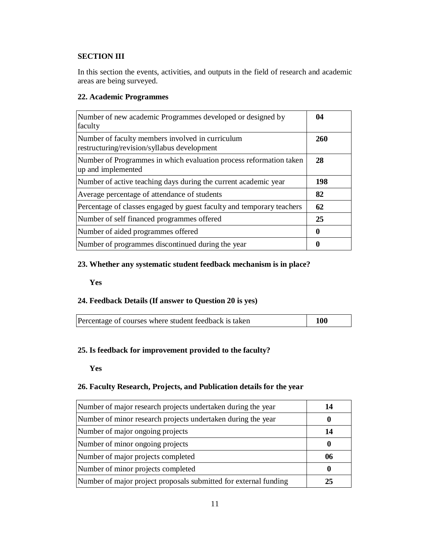# **SECTION III**

In this section the events, activities, and outputs in the field of research and academic areas are being surveyed.

# **22. Academic Programmes**

| Number of new academic Programmes developed or designed by<br>faculty                           | 04  |
|-------------------------------------------------------------------------------------------------|-----|
| Number of faculty members involved in curriculum<br>restructuring/revision/syllabus development | 260 |
| Number of Programmes in which evaluation process reformation taken<br>up and implemented        | 28  |
| Number of active teaching days during the current academic year                                 | 198 |
| Average percentage of attendance of students                                                    | 82  |
| Percentage of classes engaged by guest faculty and temporary teachers                           | 62  |
| Number of self financed programmes offered                                                      | 25  |
| Number of aided programmes offered                                                              | 0   |
| Number of programmes discontinued during the year                                               | 0   |

# **23. Whether any systematic student feedback mechanism is in place?**

**Yes** 

# **24. Feedback Details (If answer to Question 20 is yes)**

| Percentage of courses where student feedback is taken | <b>100</b> |
|-------------------------------------------------------|------------|
|                                                       |            |

# **25. Is feedback for improvement provided to the faculty?**

**Yes** 

## **26. Faculty Research, Projects, and Publication details for the year**

| Number of major research projects undertaken during the year     | 14 |
|------------------------------------------------------------------|----|
| Number of minor research projects undertaken during the year     |    |
| Number of major ongoing projects                                 | 14 |
| Number of minor ongoing projects                                 |    |
| Number of major projects completed                               | 06 |
| Number of minor projects completed                               |    |
| Number of major project proposals submitted for external funding | 25 |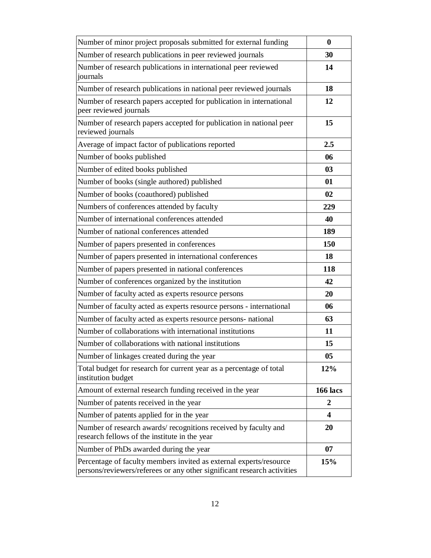| Number of minor project proposals submitted for external funding                                                                              | $\bf{0}$                |
|-----------------------------------------------------------------------------------------------------------------------------------------------|-------------------------|
| Number of research publications in peer reviewed journals                                                                                     | 30                      |
| Number of research publications in international peer reviewed<br>journals                                                                    | 14                      |
| Number of research publications in national peer reviewed journals                                                                            | 18                      |
| Number of research papers accepted for publication in international<br>peer reviewed journals                                                 | 12                      |
| Number of research papers accepted for publication in national peer<br>reviewed journals                                                      | 15                      |
| Average of impact factor of publications reported                                                                                             | 2.5                     |
| Number of books published                                                                                                                     | 06                      |
| Number of edited books published                                                                                                              | 03                      |
| Number of books (single authored) published                                                                                                   | 01                      |
| Number of books (coauthored) published                                                                                                        | 02                      |
| Numbers of conferences attended by faculty                                                                                                    | 229                     |
| Number of international conferences attended                                                                                                  | 40                      |
| Number of national conferences attended                                                                                                       | 189                     |
| Number of papers presented in conferences                                                                                                     | 150                     |
| Number of papers presented in international conferences                                                                                       | 18                      |
| Number of papers presented in national conferences                                                                                            | 118                     |
| Number of conferences organized by the institution                                                                                            | 42                      |
| Number of faculty acted as experts resource persons                                                                                           | 20                      |
| Number of faculty acted as experts resource persons - international                                                                           | 06                      |
| Number of faculty acted as experts resource persons- national                                                                                 | 63                      |
| Number of collaborations with international institutions                                                                                      | 11                      |
| Number of collaborations with national institutions                                                                                           | 15                      |
| Number of linkages created during the year                                                                                                    | 05                      |
| Total budget for research for current year as a percentage of total<br>institution budget                                                     | 12%                     |
| Amount of external research funding received in the year                                                                                      | <b>166 lacs</b>         |
| Number of patents received in the year                                                                                                        | 2                       |
| Number of patents applied for in the year                                                                                                     | $\overline{\mathbf{4}}$ |
| Number of research awards/recognitions received by faculty and<br>research fellows of the institute in the year                               | 20                      |
| Number of PhDs awarded during the year                                                                                                        | 07                      |
| Percentage of faculty members invited as external experts/resource<br>persons/reviewers/referees or any other significant research activities | 15%                     |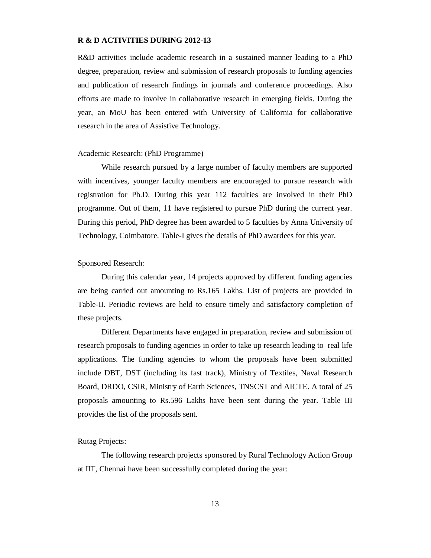#### **R & D ACTIVITIES DURING 2012-13**

R&D activities include academic research in a sustained manner leading to a PhD degree, preparation, review and submission of research proposals to funding agencies and publication of research findings in journals and conference proceedings. Also efforts are made to involve in collaborative research in emerging fields. During the year, an MoU has been entered with University of California for collaborative research in the area of Assistive Technology.

#### Academic Research: (PhD Programme)

While research pursued by a large number of faculty members are supported with incentives, younger faculty members are encouraged to pursue research with registration for Ph.D. During this year 112 faculties are involved in their PhD programme. Out of them, 11 have registered to pursue PhD during the current year. During this period, PhD degree has been awarded to 5 faculties by Anna University of Technology, Coimbatore. Table-I gives the details of PhD awardees for this year.

#### Sponsored Research:

During this calendar year, 14 projects approved by different funding agencies are being carried out amounting to Rs.165 Lakhs. List of projects are provided in Table-II. Periodic reviews are held to ensure timely and satisfactory completion of these projects.

Different Departments have engaged in preparation, review and submission of research proposals to funding agencies in order to take up research leading to real life applications. The funding agencies to whom the proposals have been submitted include DBT, DST (including its fast track), Ministry of Textiles, Naval Research Board, DRDO, CSIR, Ministry of Earth Sciences, TNSCST and AICTE. A total of 25 proposals amounting to Rs.596 Lakhs have been sent during the year. Table III provides the list of the proposals sent.

#### Rutag Projects:

The following research projects sponsored by Rural Technology Action Group at IIT, Chennai have been successfully completed during the year: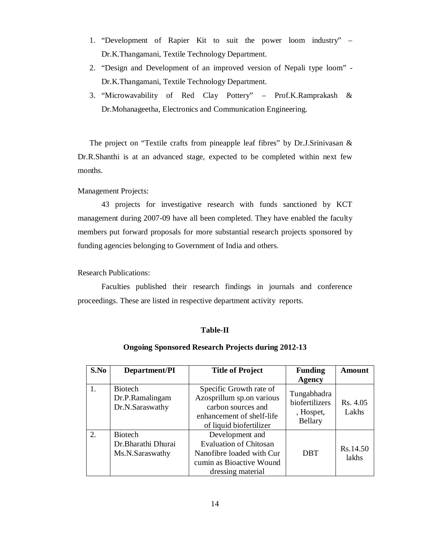- 1. "Development of Rapier Kit to suit the power loom industry" Dr.K.Thangamani, Textile Technology Department.
- 2. "Design and Development of an improved version of Nepali type loom" Dr.K.Thangamani, Textile Technology Department.
- 3. "Microwavability of Red Clay Pottery" Prof.K.Ramprakash & Dr.Mohanageetha, Electronics and Communication Engineering.

The project on "Textile crafts from pineapple leaf fibres" by Dr.J.Srinivasan & Dr.R.Shanthi is at an advanced stage, expected to be completed within next few months.

#### Management Projects:

43 projects for investigative research with funds sanctioned by KCT management during 2007-09 have all been completed. They have enabled the faculty members put forward proposals for more substantial research projects sponsored by funding agencies belonging to Government of India and others.

Research Publications:

Faculties published their research findings in journals and conference proceedings. These are listed in respective department activity reports.

#### **Table-II**

#### **Ongoing Sponsored Research Projects during 2012-13**

| S.No | Department/PI                                           | <b>Title of Project</b>                                                                                                            | <b>Funding</b><br><b>Agency</b>                       | Amount            |
|------|---------------------------------------------------------|------------------------------------------------------------------------------------------------------------------------------------|-------------------------------------------------------|-------------------|
| 1.   | <b>Biotech</b><br>Dr.P.Ramalingam<br>Dr.N.Saraswathy    | Specific Growth rate of<br>Azosprillum sp.on various<br>carbon sources and<br>enhancement of shelf-life<br>of liquid biofertilizer | Tungabhadra<br>biofertilizers<br>, Hospet,<br>Bellary | Rs. 4.05<br>Lakhs |
| 2.   | <b>Biotech</b><br>Dr.Bharathi Dhurai<br>Ms.N.Saraswathy | Development and<br><b>Evaluation of Chitosan</b><br>Nanofibre loaded with Cur<br>cumin as Bioactive Wound<br>dressing material     | <b>DBT</b>                                            | Rs.14.50<br>lakhs |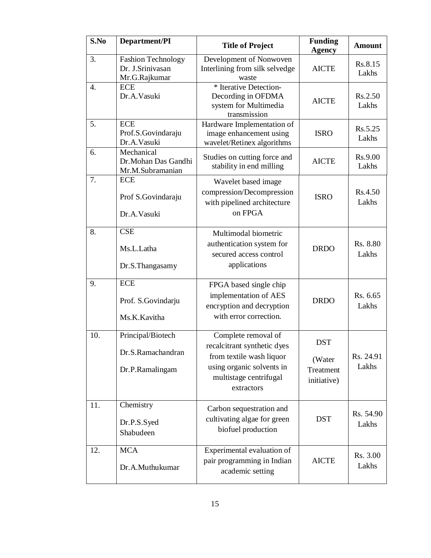| S.No | Department/PI                                                  | <b>Title of Project</b>                                                                                                                             | <b>Funding</b><br><b>Agency</b>                  | <b>Amount</b>      |
|------|----------------------------------------------------------------|-----------------------------------------------------------------------------------------------------------------------------------------------------|--------------------------------------------------|--------------------|
| 3.   | <b>Fashion Technology</b><br>Dr. J.Srinivasan<br>Mr.G.Rajkumar | Development of Nonwoven<br>Interlining from silk selvedge<br>waste                                                                                  | <b>AICTE</b>                                     | Rs.8.15<br>Lakhs   |
| 4.   | <b>ECE</b><br>Dr.A.Vasuki                                      | * Iterative Detection-<br>Decording in OFDMA<br>system for Multimedia<br>transmission                                                               | <b>AICTE</b>                                     | Rs.2.50<br>Lakhs   |
| 5.   | <b>ECE</b><br>Prof.S.Govindaraju<br>Dr.A.Vasuki                | Hardware Implementation of<br>image enhancement using<br>wavelet/Retinex algorithms                                                                 | <b>ISRO</b>                                      | Rs.5.25<br>Lakhs   |
| 6.   | Mechanical<br>Dr.Mohan Das Gandhi<br>Mr.M.Subramanian          | Studies on cutting force and<br>stability in end milling                                                                                            | <b>AICTE</b>                                     | Rs.9.00<br>Lakhs   |
| 7.   | <b>ECE</b><br>Prof S.Govindaraju<br>Dr.A.Vasuki                | Wavelet based image<br>compression/Decompression<br>with pipelined architecture<br>on FPGA                                                          | <b>ISRO</b>                                      | Rs.4.50<br>Lakhs   |
| 8.   | <b>CSE</b><br>Ms.L.Latha<br>Dr.S.Thangasamy                    | Multimodal biometric<br>authentication system for<br>secured access control<br>applications                                                         | <b>DRDO</b>                                      | Rs. 8.80<br>Lakhs  |
| 9.   | <b>ECE</b><br>Prof. S.Govindarju<br>Ms.K.Kavitha               | FPGA based single chip<br>implementation of AES<br>encryption and decryption<br>with error correction.                                              | <b>DRDO</b>                                      | Rs. 6.65<br>Lakhs  |
| 10.  | Principal/Biotech<br>Dr.S.Ramachandran<br>Dr.P.Ramalingam      | Complete removal of<br>recalcitrant synthetic dyes<br>from textile wash liquor<br>using organic solvents in<br>multistage centrifugal<br>extractors | <b>DST</b><br>(Water<br>Treatment<br>initiative) | Rs. 24.91<br>Lakhs |
| 11.  | Chemistry<br>Dr.P.S.Syed<br>Shabudeen                          | Carbon sequestration and<br>cultivating algae for green<br>biofuel production                                                                       | <b>DST</b>                                       | Rs. 54.90<br>Lakhs |
| 12.  | <b>MCA</b><br>Dr.A.Muthukumar                                  | Experimental evaluation of<br>pair programming in Indian<br>academic setting                                                                        | <b>AICTE</b>                                     | Rs. 3.00<br>Lakhs  |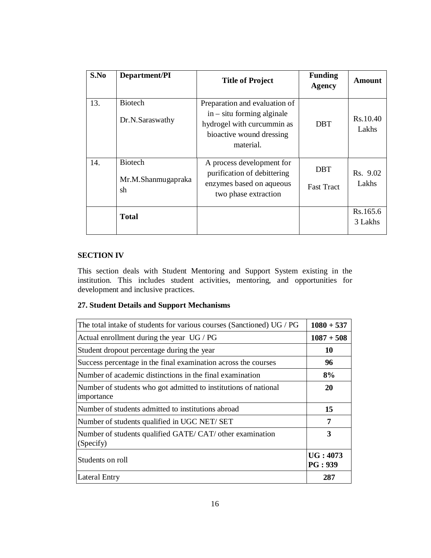| S.No | Department/PI                              | <b>Title of Project</b>                                                                                                              | <b>Funding</b><br><b>Agency</b> | Amount              |
|------|--------------------------------------------|--------------------------------------------------------------------------------------------------------------------------------------|---------------------------------|---------------------|
| 13.  | <b>Biotech</b><br>Dr.N.Saraswathy          | Preparation and evaluation of<br>$in -$ situ forming alginale<br>hydrogel with curcummin as<br>bioactive wound dressing<br>material. | <b>DBT</b>                      | Rs.10.40<br>Lakhs   |
| 14.  | <b>Biotech</b><br>Mr.M.Shanmugapraka<br>sh | A process development for<br>purification of debittering<br>enzymes based on aqueous<br>two phase extraction                         | <b>DBT</b><br><b>Fast Tract</b> | Rs. 9.02<br>Lakhs   |
|      | <b>Total</b>                               |                                                                                                                                      |                                 | Rs.165.6<br>3 Lakhs |

# **SECTION IV**

This section deals with Student Mentoring and Support System existing in the institution. This includes student activities, mentoring, and opportunities for development and inclusive practices.

# **27. Student Details and Support Mechanisms**

| The total intake of students for various courses (Sanctioned) UG / PG         | $1080 + 537$        |
|-------------------------------------------------------------------------------|---------------------|
| Actual enrollment during the year UG / PG                                     | $1087 + 508$        |
| Student dropout percentage during the year                                    | 10                  |
| Success percentage in the final examination across the courses                | 96                  |
| Number of academic distinctions in the final examination                      | 8%                  |
| Number of students who got admitted to institutions of national<br>importance | 20                  |
| Number of students admitted to institutions abroad                            | 15                  |
| Number of students qualified in UGC NET/SET                                   | 7                   |
| Number of students qualified GATE/CAT/ other examination<br>(Specify)         | 3                   |
| Students on roll                                                              | UG: 4073<br>PG: 939 |
| Lateral Entry                                                                 | 287                 |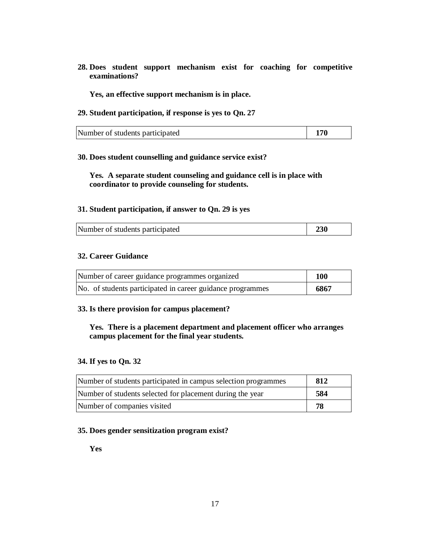**28. Does student support mechanism exist for coaching for competitive examinations?**

**Yes, an effective support mechanism is in place.**

**29. Student participation, if response is yes to Qn. 27**

| $\vert$ 170<br>Number of students participated |  |
|------------------------------------------------|--|
|------------------------------------------------|--|

## **30. Does student counselling and guidance service exist?**

**Yes. A separate student counseling and guidance cell is in place with coordinator to provide counseling for students.**

## **31. Student participation, if answer to Qn. 29 is yes**

| Number of students participated<br>230 |  |
|----------------------------------------|--|
|----------------------------------------|--|

# **32. Career Guidance**

| Number of career guidance programmes organized             | 100  |
|------------------------------------------------------------|------|
| No. of students participated in career guidance programmes | 6867 |

#### **33. Is there provision for campus placement?**

# **Yes. There is a placement department and placement officer who arranges campus placement for the final year students.**

# **34. If yes to Qn. 32**

| Number of students participated in campus selection programmes | 812 |
|----------------------------------------------------------------|-----|
| Number of students selected for placement during the year      | 584 |
| Number of companies visited                                    | 78  |

## **35. Does gender sensitization program exist?**

**Yes**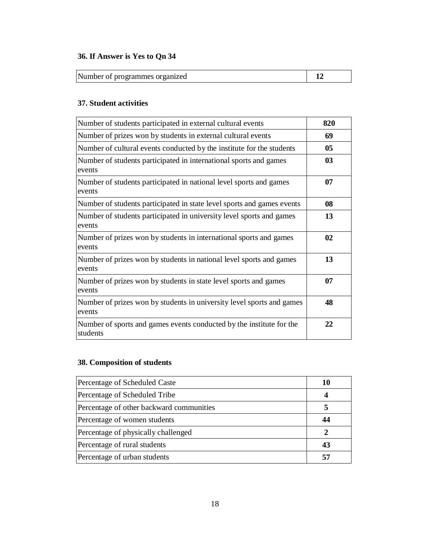# **36. If Answer is Yes to Qn 34**

Number of programmes organized **12**

# **37. Student activities**

| Number of students participated in external cultural events                      | 820 |
|----------------------------------------------------------------------------------|-----|
| Number of prizes won by students in external cultural events                     | 69  |
| Number of cultural events conducted by the institute for the students            | 05  |
| Number of students participated in international sports and games<br>events      | 03  |
| Number of students participated in national level sports and games<br>events     | 07  |
| Number of students participated in state level sports and games events           | 08  |
| Number of students participated in university level sports and games<br>events   | 13  |
| Number of prizes won by students in international sports and games<br>events     | 02  |
| Number of prizes won by students in national level sports and games<br>events    | 13  |
| Number of prizes won by students in state level sports and games<br>events       | 07  |
| Number of prizes won by students in university level sports and games<br>events  | 48  |
| Number of sports and games events conducted by the institute for the<br>students | 22  |

# **38. Composition of students**

| Percentage of Scheduled Caste            | 10 |
|------------------------------------------|----|
| Percentage of Scheduled Tribe            |    |
| Percentage of other backward communities |    |
| Percentage of women students             | 44 |
| Percentage of physically challenged      |    |
| Percentage of rural students             | 43 |
| Percentage of urban students             | 57 |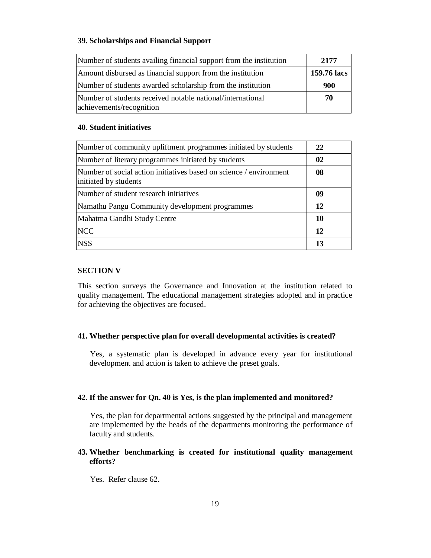# **39. Scholarships and Financial Support**

| Number of students availing financial support from the institution                     | 2177        |
|----------------------------------------------------------------------------------------|-------------|
| Amount disbursed as financial support from the institution                             | 159.76 lacs |
| Number of students awarded scholarship from the institution                            | 900         |
| Number of students received notable national/international<br>achievements/recognition | 70          |

## **40. Student initiatives**

| Number of community upliftment programmes initiated by students                             | 22            |
|---------------------------------------------------------------------------------------------|---------------|
| Number of literary programmes initiated by students                                         | $\mathbf{02}$ |
| Number of social action initiatives based on science / environment<br>initiated by students | 08            |
| Number of student research initiatives                                                      | 09            |
| Namathu Pangu Community development programmes                                              | 12            |
| Mahatma Gandhi Study Centre                                                                 | 10            |
| <b>NCC</b>                                                                                  | 12            |
| <b>NSS</b>                                                                                  | 13            |

## **SECTION V**

This section surveys the Governance and Innovation at the institution related to quality management. The educational management strategies adopted and in practice for achieving the objectives are focused.

## **41. Whether perspective plan for overall developmental activities is created?**

Yes, a systematic plan is developed in advance every year for institutional development and action is taken to achieve the preset goals.

#### **42. If the answer for Qn. 40 is Yes, is the plan implemented and monitored?**

Yes, the plan for departmental actions suggested by the principal and management are implemented by the heads of the departments monitoring the performance of faculty and students.

# **43. Whether benchmarking is created for institutional quality management efforts?**

Yes. Refer clause 62.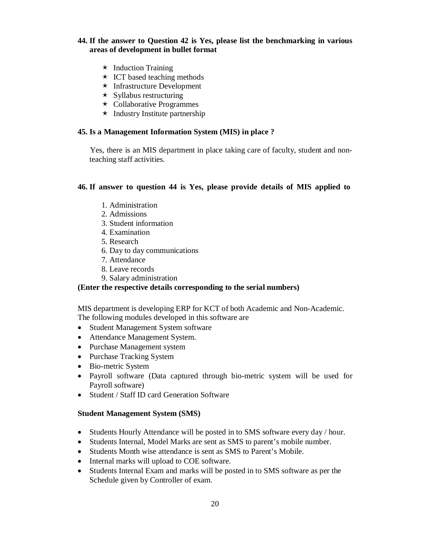# **44. If the answer to Question 42 is Yes, please list the benchmarking in various areas of development in bullet format**

- $\star$  Induction Training
- $\star$  ICT based teaching methods
- $\star$  Infrastructure Development
- $\star$  Syllabus restructuring
- $\star$  Collaborative Programmes
- $\star$  Industry Institute partnership

## **45. Is a Management Information System (MIS) in place ?**

Yes, there is an MIS department in place taking care of faculty, student and nonteaching staff activities.

#### **46. If answer to question 44 is Yes, please provide details of MIS applied to**

- 1. Administration
- 2. Admissions
- 3. Student information
- 4. Examination
- 5. Research
- 6. Day to day communications
- 7. Attendance
- 8. Leave records
- 9. Salary administration

## **(Enter the respective details corresponding to the serial numbers)**

MIS department is developing ERP for KCT of both Academic and Non-Academic. The following modules developed in this software are

- Student Management System software
- Attendance Management System.
- Purchase Management system
- Purchase Tracking System
- Bio-metric System
- Payroll software (Data captured through bio-metric system will be used for Payroll software)
- Student / Staff ID card Generation Software

#### **Student Management System (SMS)**

- Students Hourly Attendance will be posted in to SMS software every day / hour.
- Students Internal, Model Marks are sent as SMS to parent's mobile number.
- Students Month wise attendance is sent as SMS to Parent's Mobile.
- Internal marks will upload to COE software.
- Students Internal Exam and marks will be posted in to SMS software as per the Schedule given by Controller of exam.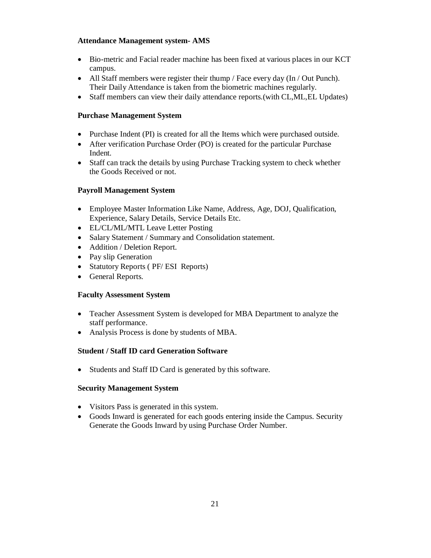# **Attendance Management system- AMS**

- Bio-metric and Facial reader machine has been fixed at various places in our KCT campus.
- All Staff members were register their thump / Face every day (In / Out Punch). Their Daily Attendance is taken from the biometric machines regularly.
- Staff members can view their daily attendance reports.(with CL,ML,EL Updates)

# **Purchase Management System**

- Purchase Indent (PI) is created for all the Items which were purchased outside.
- After verification Purchase Order (PO) is created for the particular Purchase Indent.
- Staff can track the details by using Purchase Tracking system to check whether the Goods Received or not.

# **Payroll Management System**

- Employee Master Information Like Name, Address, Age, DOJ, Qualification, Experience, Salary Details, Service Details Etc.
- EL/CL/ML/MTL Leave Letter Posting
- Salary Statement / Summary and Consolidation statement.
- Addition / Deletion Report.
- Pay slip Generation
- Statutory Reports ( PF/ ESI Reports)
- General Reports.

# **Faculty Assessment System**

- Teacher Assessment System is developed for MBA Department to analyze the staff performance.
- Analysis Process is done by students of MBA.

# **Student / Staff ID card Generation Software**

• Students and Staff ID Card is generated by this software.

# **Security Management System**

- Visitors Pass is generated in this system.
- Goods Inward is generated for each goods entering inside the Campus. Security Generate the Goods Inward by using Purchase Order Number.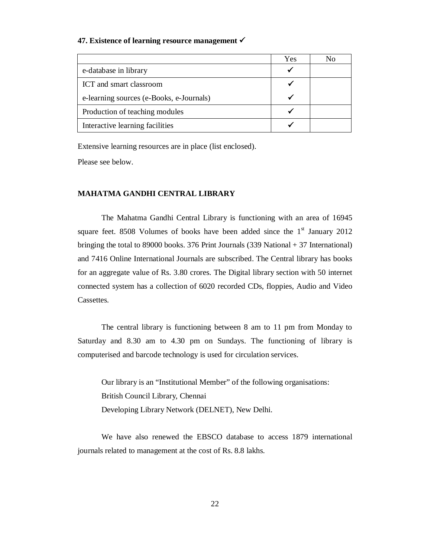#### **47. Existence of learning resource management**

|                                          | Yes | Nο |
|------------------------------------------|-----|----|
| e-database in library                    |     |    |
| ICT and smart classroom                  |     |    |
| e-learning sources (e-Books, e-Journals) |     |    |
| Production of teaching modules           |     |    |
| Interactive learning facilities          |     |    |

Extensive learning resources are in place (list enclosed).

Please see below.

# **MAHATMA GANDHI CENTRAL LIBRARY**

The Mahatma Gandhi Central Library is functioning with an area of 16945 square feet. 8508 Volumes of books have been added since the  $1<sup>st</sup>$  January 2012 bringing the total to 89000 books. 376 Print Journals  $(339 \text{ National} + 37 \text{ International})$ and 7416 Online International Journals are subscribed. The Central library has books for an aggregate value of Rs. 3.80 crores. The Digital library section with 50 internet connected system has a collection of 6020 recorded CDs, floppies, Audio and Video Cassettes.

The central library is functioning between 8 am to 11 pm from Monday to Saturday and 8.30 am to 4.30 pm on Sundays. The functioning of library is computerised and barcode technology is used for circulation services.

Our library is an "Institutional Member" of the following organisations: British Council Library, Chennai Developing Library Network (DELNET), New Delhi.

We have also renewed the EBSCO database to access 1879 international journals related to management at the cost of Rs. 8.8 lakhs.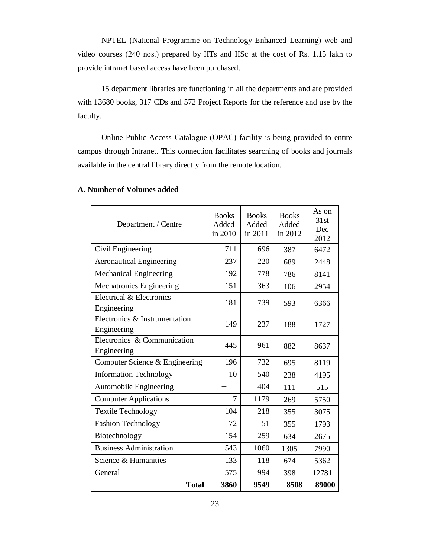NPTEL (National Programme on Technology Enhanced Learning) web and video courses (240 nos.) prepared by IITs and IISc at the cost of Rs. 1.15 lakh to provide intranet based access have been purchased.

15 department libraries are functioning in all the departments and are provided with 13680 books, 317 CDs and 572 Project Reports for the reference and use by the faculty.

Online Public Access Catalogue (OPAC) facility is being provided to entire campus through Intranet. This connection facilitates searching of books and journals available in the central library directly from the remote location.

| <b>Total</b>                                 | 3860                             | 9549                             | 8508                             | 89000                        |
|----------------------------------------------|----------------------------------|----------------------------------|----------------------------------|------------------------------|
| General                                      | 575                              | 994                              | 398                              | 12781                        |
| Science & Humanities                         | 133                              | 118                              | 674                              | 5362                         |
| <b>Business Administration</b>               | 543                              | 1060                             | 1305                             | 7990                         |
| Biotechnology                                | 154                              | 259                              | 634                              | 2675                         |
| <b>Fashion Technology</b>                    | 72                               | 51                               | 355                              | 1793                         |
| <b>Textile Technology</b>                    | 104                              | 218                              | 355                              | 3075                         |
| <b>Computer Applications</b>                 | 7                                | 1179                             | 269                              | 5750                         |
| Automobile Engineering                       |                                  | 404                              | 111                              | 515                          |
| <b>Information Technology</b>                | 10                               | 540                              | 238                              | 4195                         |
| Computer Science & Engineering               | 196                              | 732                              | 695                              | 8119                         |
| Electronics & Communication<br>Engineering   | 445                              | 961                              | 882                              | 8637                         |
| Electronics & Instrumentation<br>Engineering | 149                              | 237                              | 188                              | 1727                         |
| Electrical & Electronics<br>Engineering      | 181                              | 739                              | 593                              | 6366                         |
| Mechatronics Engineering                     | 151                              | 363                              | 106                              | 2954                         |
| Mechanical Engineering                       | 192                              | 778                              | 786                              | 8141                         |
| <b>Aeronautical Engineering</b>              | 237                              | 220                              | 689                              | 2448                         |
| Civil Engineering                            | 711                              | 696                              | 387                              | 6472                         |
| Department / Centre                          | <b>Books</b><br>Added<br>in 2010 | <b>Books</b><br>Added<br>in 2011 | <b>Books</b><br>Added<br>in 2012 | As on<br>31st<br>Dec<br>2012 |
|                                              |                                  |                                  |                                  |                              |

# **A. Number of Volumes added**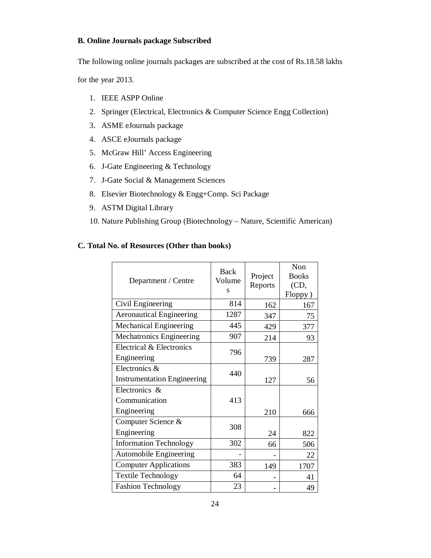## **B. Online Journals package Subscribed**

The following online journals packages are subscribed at the cost of Rs.18.58 lakhs

for the year 2013.

- 1. IEEE ASPP Online
- 2. Springer (Electrical, Electronics & Computer Science Engg Collection)
- 3. ASME eJournals package
- 4. ASCE eJournals package
- 5. McGraw Hill' Access Engineering
- 6. J-Gate Engineering & Technology
- 7. J-Gate Social & Management Sciences
- 8. Elsevier Biotechnology & Engg+Comp. Sci Package
- 9. ASTM Digital Library
- 10. Nature Publishing Group (Biotechnology Nature, Scientific American)

# **C. Total No. of Resources (Other than books)**

| Department / Centre                | Back<br>Volume<br>S | Project<br>Reports | Non<br><b>Books</b><br>(CD,<br>Floppy) |
|------------------------------------|---------------------|--------------------|----------------------------------------|
| Civil Engineering                  | 814                 | 162                | 167                                    |
| <b>Aeronautical Engineering</b>    | 1287                | 347                | 75                                     |
| <b>Mechanical Engineering</b>      | 445                 | 429                | 377                                    |
| Mechatronics Engineering           | 907                 | 214                | 93                                     |
| Electrical & Electronics           | 796                 |                    |                                        |
| Engineering                        |                     | 739                | 287                                    |
| Electronics &                      | 440                 |                    |                                        |
| <b>Instrumentation Engineering</b> |                     | 127                | 56                                     |
| Electronics &                      |                     |                    |                                        |
| Communication                      | 413                 |                    |                                        |
| Engineering                        |                     | 210                | 666                                    |
| Computer Science &                 | 308                 |                    |                                        |
| Engineering                        |                     | 24                 | 822                                    |
| <b>Information Technology</b>      | 302                 | 66                 | 506                                    |
| <b>Automobile Engineering</b>      |                     |                    | 22                                     |
| <b>Computer Applications</b>       | 383                 | 149                | 1707                                   |
| <b>Textile Technology</b>          | 64                  |                    | 41                                     |
| <b>Fashion Technology</b>          | 23                  |                    | 49                                     |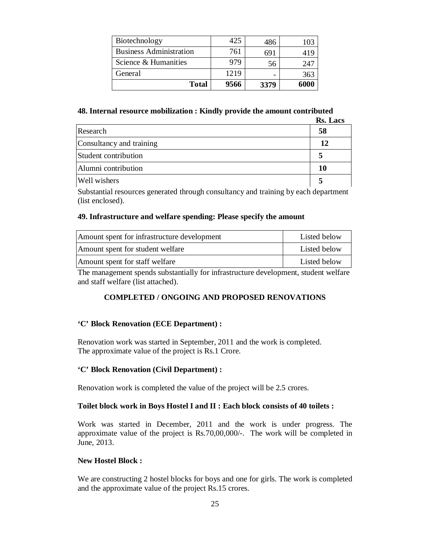| Biotechnology                  | 425  | 486  | 103  |
|--------------------------------|------|------|------|
| <b>Business Administration</b> | 761  | 691  | 419  |
| Science & Humanities           | 979  | 56   | 247  |
| General                        | 1219 |      | 363  |
| <b>Total</b>                   | 9566 | 3379 | 6000 |

## **48. Internal resource mobilization : Kindly provide the amount contributed**

|                          | Rs. Lacs |
|--------------------------|----------|
| Research                 | 58       |
| Consultancy and training | 12       |
| Student contribution     |          |
| Alumni contribution      | 10       |
| <b>Well</b> wishers      |          |

Substantial resources generated through consultancy and training by each department (list enclosed).

## **49. Infrastructure and welfare spending: Please specify the amount**

| Amount spent for infrastructure development | Listed below |
|---------------------------------------------|--------------|
| Amount spent for student welfare            | Listed below |
| Amount spent for staff welfare              | Listed below |

The management spends substantially for infrastructure development, student welfare and staff welfare (list attached).

## **COMPLETED / ONGOING AND PROPOSED RENOVATIONS**

#### **'C' Block Renovation (ECE Department) :**

Renovation work was started in September, 2011 and the work is completed. The approximate value of the project is Rs.1 Crore.

# **'C' Block Renovation (Civil Department) :**

Renovation work is completed the value of the project will be 2.5 crores.

#### **Toilet block work in Boys Hostel I and II : Each block consists of 40 toilets :**

Work was started in December, 2011 and the work is under progress. The approximate value of the project is Rs.70,00,000/-. The work will be completed in June, 2013.

## **New Hostel Block :**

We are constructing 2 hostel blocks for boys and one for girls. The work is completed and the approximate value of the project Rs.15 crores.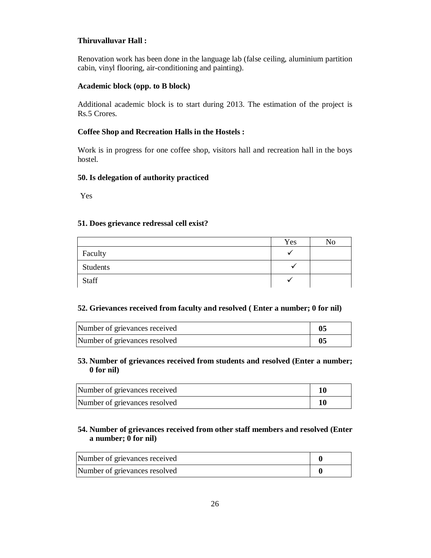# **Thiruvalluvar Hall :**

Renovation work has been done in the language lab (false ceiling, aluminium partition cabin, vinyl flooring, air-conditioning and painting).

## **Academic block (opp. to B block)**

Additional academic block is to start during 2013. The estimation of the project is Rs.5 Crores.

# **Coffee Shop and Recreation Halls in the Hostels :**

Work is in progress for one coffee shop, visitors hall and recreation hall in the boys hostel.

## **50. Is delegation of authority practiced**

Yes

# **51. Does grievance redressal cell exist?**

|          | Yes | No |
|----------|-----|----|
| Faculty  |     |    |
| Students |     |    |
| Staff    |     |    |

# **52. Grievances received from faculty and resolved ( Enter a number; 0 for nil)**

| Number of grievances received |  |
|-------------------------------|--|
| Number of grievances resolved |  |

# **53. Number of grievances received from students and resolved (Enter a number; 0 for nil)**

| Number of grievances received |  |
|-------------------------------|--|
| Number of grievances resolved |  |

# **54. Number of grievances received from other staff members and resolved (Enter a number; 0 for nil)**

| Number of grievances received |  |
|-------------------------------|--|
| Number of grievances resolved |  |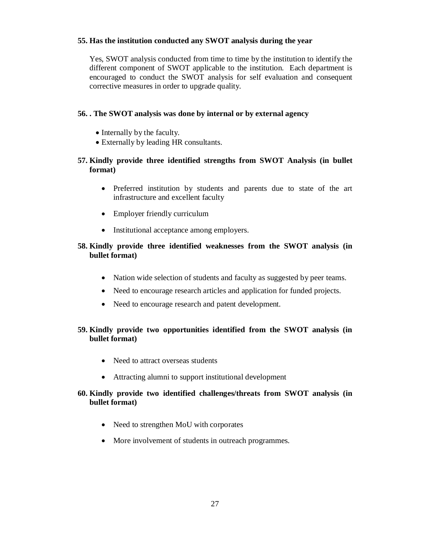## **55. Has the institution conducted any SWOT analysis during the year**

Yes, SWOT analysis conducted from time to time by the institution to identify the different component of SWOT applicable to the institution. Each department is encouraged to conduct the SWOT analysis for self evaluation and consequent corrective measures in order to upgrade quality.

### **56. . The SWOT analysis was done by internal or by external agency**

- Internally by the faculty.
- Externally by leading HR consultants.

# **57. Kindly provide three identified strengths from SWOT Analysis (in bullet format)**

- Preferred institution by students and parents due to state of the art infrastructure and excellent faculty
- Employer friendly curriculum
- Institutional acceptance among employers.

# **58. Kindly provide three identified weaknesses from the SWOT analysis (in bullet format)**

- Nation wide selection of students and faculty as suggested by peer teams.
- Need to encourage research articles and application for funded projects.
- Need to encourage research and patent development.

# **59. Kindly provide two opportunities identified from the SWOT analysis (in bullet format)**

- Need to attract overseas students
- Attracting alumni to support institutional development

# **60. Kindly provide two identified challenges/threats from SWOT analysis (in bullet format)**

- Need to strengthen MoU with corporates
- More involvement of students in outreach programmes.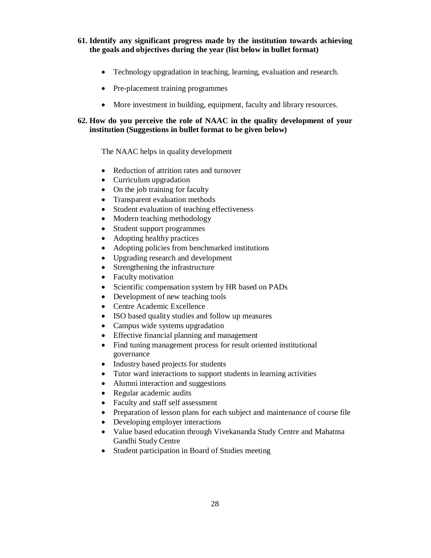**61. Identify any significant progress made by the institution towards achieving the goals and objectives during the year (list below in bullet format)**

- Technology upgradation in teaching, learning, evaluation and research.
- Pre-placement training programmes
- More investment in building, equipment, faculty and library resources.

# **62. How do you perceive the role of NAAC in the quality development of your institution (Suggestions in bullet format to be given below)**

#### The NAAC helps in quality development

- Reduction of attrition rates and turnover
- Curriculum upgradation
- On the job training for faculty
- Transparent evaluation methods
- Student evaluation of teaching effectiveness
- Modern teaching methodology
- Student support programmes
- Adopting healthy practices
- Adopting policies from benchmarked institutions
- Upgrading research and development
- Strengthening the infrastructure
- Faculty motivation
- Scientific compensation system by HR based on PADs
- Development of new teaching tools
- Centre Academic Excellence
- ISO based quality studies and follow up measures
- Campus wide systems upgradation
- Effective financial planning and management
- Find tuning management process for result oriented institutional governance
- Industry based projects for students
- Tutor ward interactions to support students in learning activities
- Alumni interaction and suggestions
- Regular academic audits
- Faculty and staff self assessment
- Preparation of lesson plans for each subject and maintenance of course file
- Developing employer interactions
- Value based education through Vivekananda Study Centre and Mahatma Gandhi Study Centre
- Student participation in Board of Studies meeting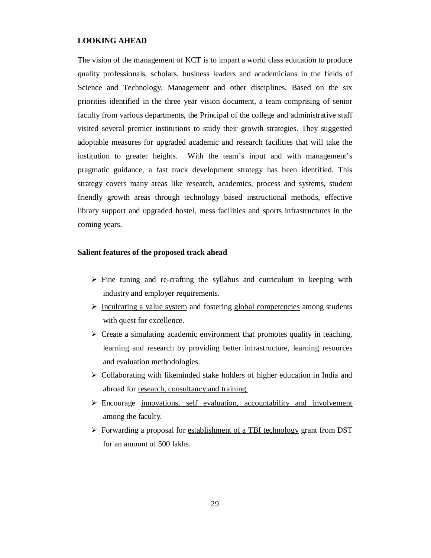#### **LOOKING AHEAD**

The vision of the management of KCT is to impart a world class education to produce quality professionals, scholars, business leaders and academicians in the fields of Science and Technology, Management and other disciplines. Based on the six priorities identified in the three year vision document, a team comprising of senior faculty from various departments, the Principal of the college and administrative staff visited several premier institutions to study their growth strategies. They suggested adoptable measures for upgraded academic and research facilities that will take the institution to greater heights. With the team's input and with management's pragmatic guidance, a fast track development strategy has been identified. This strategy covers many areas like research, academics, process and systems, student friendly growth areas through technology based instructional methods, effective library support and upgraded hostel, mess facilities and sports infrastructures in the coming years.

#### **Salient features of the proposed track ahead**

- $\triangleright$  Fine tuning and re-crafting the syllabus and curriculum in keeping with industry and employer requirements.
- $\triangleright$  Inculcating a value system and fostering global competencies among students with quest for excellence.
- $\triangleright$  Create a simulating academic environment that promotes quality in teaching, learning and research by providing better infrastructure, learning resources and evaluation methodologies.
- $\triangleright$  Collaborating with likeminded stake holders of higher education in India and abroad for research, consultancy and training.
- Encourage innovations, self evaluation, accountability and involvement among the faculty.
- Forwarding a proposal for establishment of a TBI technology grant from DST for an amount of 500 lakhs.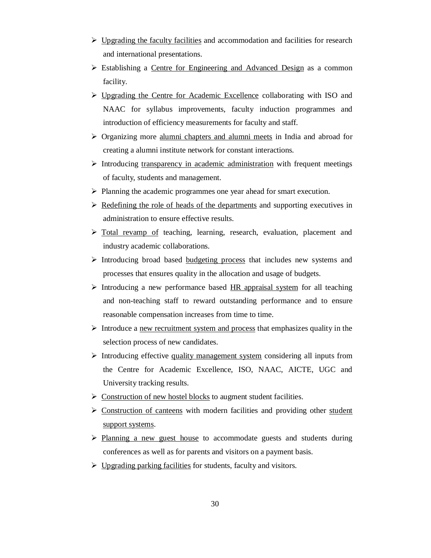- $\triangleright$  Upgrading the faculty facilities and accommodation and facilities for research and international presentations.
- Establishing a Centre for Engineering and Advanced Design as a common facility.
- Upgrading the Centre for Academic Excellence collaborating with ISO and NAAC for syllabus improvements, faculty induction programmes and introduction of efficiency measurements for faculty and staff.
- $\triangleright$  Organizing more alumni chapters and alumni meets in India and abroad for creating a alumni institute network for constant interactions.
- $\triangleright$  Introducing transparency in academic administration with frequent meetings of faculty, students and management.
- $\triangleright$  Planning the academic programmes one year ahead for smart execution.
- $\triangleright$  Redefining the role of heads of the departments and supporting executives in administration to ensure effective results.
- Total revamp of teaching, learning, research, evaluation, placement and industry academic collaborations.
- $\triangleright$  Introducing broad based budgeting process that includes new systems and processes that ensures quality in the allocation and usage of budgets.
- Introducing a new performance based  $HR$  appraisal system for all teaching and non-teaching staff to reward outstanding performance and to ensure reasonable compensation increases from time to time.
- $\triangleright$  Introduce a <u>new recruitment system and process</u> that emphasizes quality in the selection process of new candidates.
- $\triangleright$  Introducing effective quality management system considering all inputs from the Centre for Academic Excellence, ISO, NAAC, AICTE, UGC and University tracking results.
- $\triangleright$  Construction of new hostel blocks to augment student facilities.
- $\triangleright$  Construction of canteens with modern facilities and providing other student support systems.
- $\triangleright$  Planning a new guest house to accommodate guests and students during conferences as well as for parents and visitors on a payment basis.
- $\triangleright$  Upgrading parking facilities for students, faculty and visitors.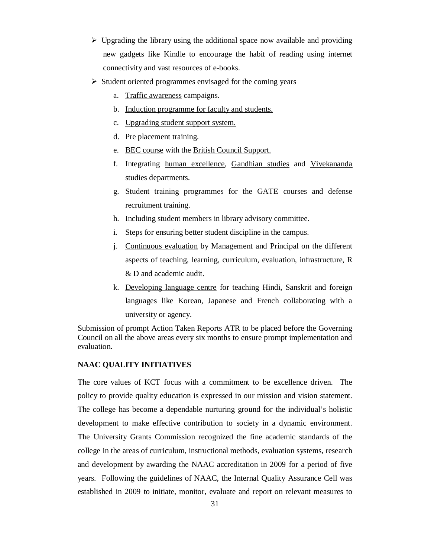- $\triangleright$  Upgrading the library using the additional space now available and providing new gadgets like Kindle to encourage the habit of reading using internet connectivity and vast resources of e-books.
- $\triangleright$  Student oriented programmes envisaged for the coming years
	- a. Traffic awareness campaigns.
	- b. Induction programme for faculty and students.
	- c. Upgrading student support system.
	- d. Pre placement training.
	- e. BEC course with the British Council Support.
	- f. Integrating human excellence, Gandhian studies and Vivekananda studies departments.
	- g. Student training programmes for the GATE courses and defense recruitment training.
	- h. Including student members in library advisory committee.
	- i. Steps for ensuring better student discipline in the campus.
	- j. Continuous evaluation by Management and Principal on the different aspects of teaching, learning, curriculum, evaluation, infrastructure, R & D and academic audit.
	- k. Developing language centre for teaching Hindi, Sanskrit and foreign languages like Korean, Japanese and French collaborating with a university or agency.

Submission of prompt Action Taken Reports ATR to be placed before the Governing Council on all the above areas every six months to ensure prompt implementation and evaluation.

## **NAAC QUALITY INITIATIVES**

The core values of KCT focus with a commitment to be excellence driven. The policy to provide quality education is expressed in our mission and vision statement. The college has become a dependable nurturing ground for the individual's holistic development to make effective contribution to society in a dynamic environment. The University Grants Commission recognized the fine academic standards of the college in the areas of curriculum, instructional methods, evaluation systems, research and development by awarding the NAAC accreditation in 2009 for a period of five years. Following the guidelines of NAAC, the Internal Quality Assurance Cell was established in 2009 to initiate, monitor, evaluate and report on relevant measures to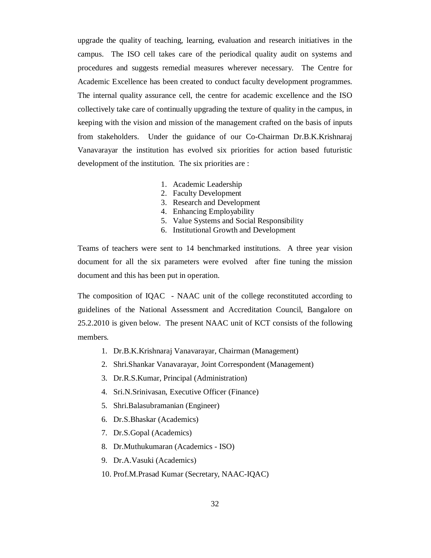upgrade the quality of teaching, learning, evaluation and research initiatives in the campus. The ISO cell takes care of the periodical quality audit on systems and procedures and suggests remedial measures wherever necessary. The Centre for Academic Excellence has been created to conduct faculty development programmes. The internal quality assurance cell, the centre for academic excellence and the ISO collectively take care of continually upgrading the texture of quality in the campus, in keeping with the vision and mission of the management crafted on the basis of inputs from stakeholders. Under the guidance of our Co-Chairman Dr.B.K.Krishnaraj Vanavarayar the institution has evolved six priorities for action based futuristic development of the institution. The six priorities are :

- 1. Academic Leadership
- 2. Faculty Development
- 3. Research and Development
- 4. Enhancing Employability
- 5. Value Systems and Social Responsibility
- 6. Institutional Growth and Development

Teams of teachers were sent to 14 benchmarked institutions. A three year vision document for all the six parameters were evolved after fine tuning the mission document and this has been put in operation.

The composition of IQAC - NAAC unit of the college reconstituted according to guidelines of the National Assessment and Accreditation Council, Bangalore on 25.2.2010 is given below. The present NAAC unit of KCT consists of the following members.

- 1. Dr.B.K.Krishnaraj Vanavarayar, Chairman (Management)
- 2. Shri.Shankar Vanavarayar, Joint Correspondent (Management)
- 3. Dr.R.S.Kumar, Principal (Administration)
- 4. Sri.N.Srinivasan, Executive Officer (Finance)
- 5. Shri.Balasubramanian (Engineer)
- 6. Dr.S.Bhaskar (Academics)
- 7. Dr.S.Gopal (Academics)
- 8. Dr.Muthukumaran (Academics ISO)
- 9. Dr.A.Vasuki (Academics)
- 10. Prof.M.Prasad Kumar (Secretary, NAAC-IQAC)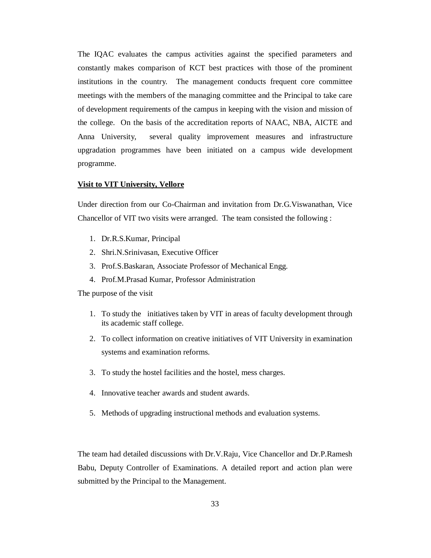The IQAC evaluates the campus activities against the specified parameters and constantly makes comparison of KCT best practices with those of the prominent institutions in the country. The management conducts frequent core committee meetings with the members of the managing committee and the Principal to take care of development requirements of the campus in keeping with the vision and mission of the college. On the basis of the accreditation reports of NAAC, NBA, AICTE and Anna University, several quality improvement measures and infrastructure upgradation programmes have been initiated on a campus wide development programme.

#### **Visit to VIT University, Vellore**

Under direction from our Co-Chairman and invitation from Dr.G.Viswanathan, Vice Chancellor of VIT two visits were arranged. The team consisted the following :

- 1. Dr.R.S.Kumar, Principal
- 2. Shri.N.Srinivasan, Executive Officer
- 3. Prof.S.Baskaran, Associate Professor of Mechanical Engg.
- 4. Prof.M.Prasad Kumar, Professor Administration

The purpose of the visit

- 1. To study the initiatives taken by VIT in areas of faculty development through its academic staff college.
- 2. To collect information on creative initiatives of VIT University in examination systems and examination reforms.
- 3. To study the hostel facilities and the hostel, mess charges.
- 4. Innovative teacher awards and student awards.
- 5. Methods of upgrading instructional methods and evaluation systems.

The team had detailed discussions with Dr.V.Raju, Vice Chancellor and Dr.P.Ramesh Babu, Deputy Controller of Examinations. A detailed report and action plan were submitted by the Principal to the Management.